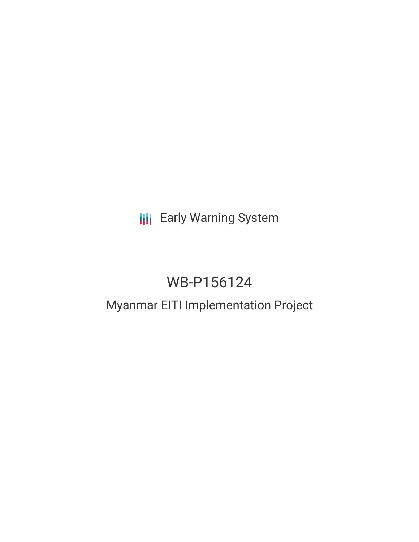# **III** Early Warning System

# WB-P156124

## Myanmar EITI Implementation Project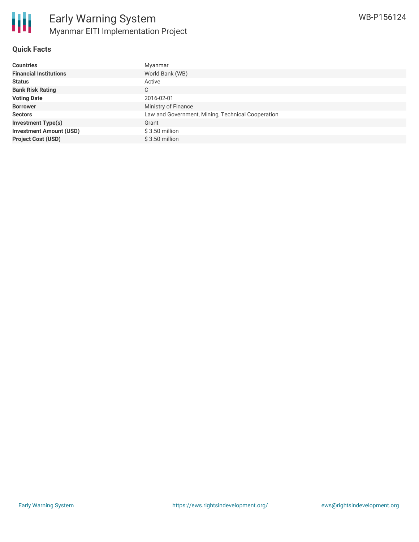

#### **Quick Facts**

| <b>Countries</b>               | Myanmar                                           |
|--------------------------------|---------------------------------------------------|
| <b>Financial Institutions</b>  | World Bank (WB)                                   |
| <b>Status</b>                  | Active                                            |
| <b>Bank Risk Rating</b>        | С                                                 |
| <b>Voting Date</b>             | 2016-02-01                                        |
| <b>Borrower</b>                | Ministry of Finance                               |
| <b>Sectors</b>                 | Law and Government, Mining, Technical Cooperation |
| <b>Investment Type(s)</b>      | Grant                                             |
| <b>Investment Amount (USD)</b> | $$3.50$ million                                   |
| <b>Project Cost (USD)</b>      | $$3.50$ million                                   |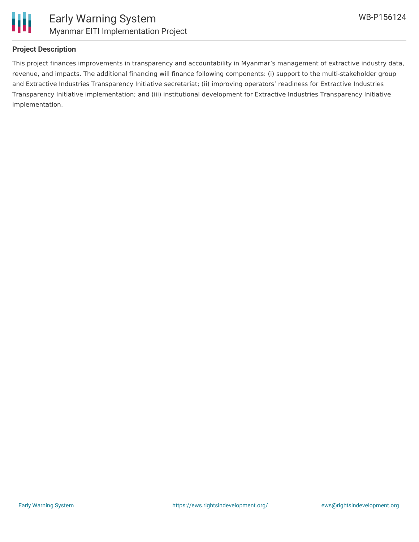

### **Project Description**

This project finances improvements in transparency and accountability in Myanmar's management of extractive industry data, revenue, and impacts. The additional financing will finance following components: (i) support to the multi-stakeholder group and Extractive Industries Transparency Initiative secretariat; (ii) improving operators' readiness for Extractive Industries Transparency Initiative implementation; and (iii) institutional development for Extractive Industries Transparency Initiative implementation.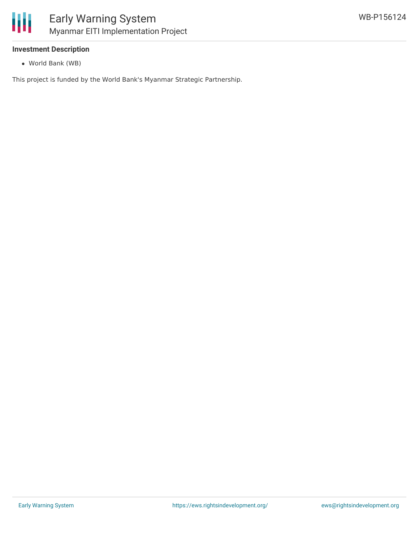

#### **Investment Description**

World Bank (WB)

This project is funded by the World Bank's Myanmar Strategic Partnership.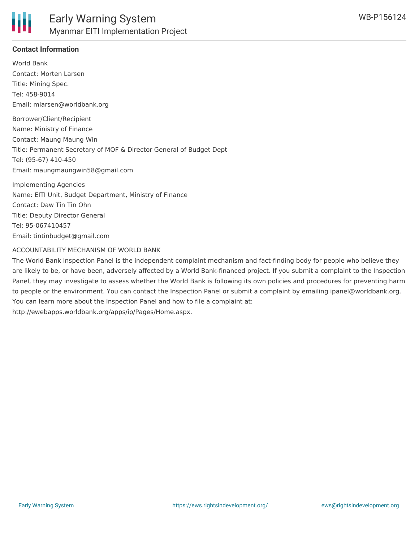

#### **Contact Information**

World Bank Contact: Morten Larsen Title: Mining Spec. Tel: 458-9014 Email: mlarsen@worldbank.org

Borrower/Client/Recipient Name: Ministry of Finance Contact: Maung Maung Win Title: Permanent Secretary of MOF & Director General of Budget Dept Tel: (95-67) 410-450 Email: maungmaungwin58@gmail.com

Implementing Agencies Name: EITI Unit, Budget Department, Ministry of Finance Contact: Daw Tin Tin Ohn Title: Deputy Director General Tel: 95-067410457 Email: tintinbudget@gmail.com

#### ACCOUNTABILITY MECHANISM OF WORLD BANK

The World Bank Inspection Panel is the independent complaint mechanism and fact-finding body for people who believe they are likely to be, or have been, adversely affected by a World Bank-financed project. If you submit a complaint to the Inspection Panel, they may investigate to assess whether the World Bank is following its own policies and procedures for preventing harm to people or the environment. You can contact the Inspection Panel or submit a complaint by emailing ipanel@worldbank.org. You can learn more about the Inspection Panel and how to file a complaint at: http://ewebapps.worldbank.org/apps/ip/Pages/Home.aspx.